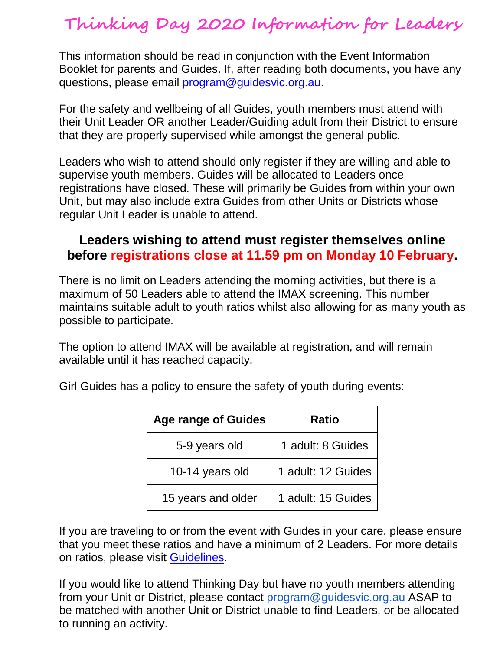## **Thinking Day 2020 Information for Leaders**

This information should be read in conjunction with the Event Information Booklet for parents and Guides. If, after reading both documents, you have any questions, please email [program@guidesvic.org.au.](mailto:program@guidesvic.org.au)

For the safety and wellbeing of all Guides, youth members must attend with their Unit Leader OR another Leader/Guiding adult from their District to ensure that they are properly supervised while amongst the general public.

Leaders who wish to attend should only register if they are willing and able to supervise youth members. Guides will be allocated to Leaders once registrations have closed. These will primarily be Guides from within your own Unit, but may also include extra Guides from other Units or Districts whose regular Unit Leader is unable to attend.

## **Leaders wishing to attend must register themselves online before registrations close at 11.59 pm on Monday 10 February.**

There is no limit on Leaders attending the morning activities, but there is a maximum of 50 Leaders able to attend the IMAX screening. This number maintains suitable adult to youth ratios whilst also allowing for as many youth as possible to participate.

The option to attend IMAX will be available at registration, and will remain available until it has reached capacity.

| Girl Guides has a policy to ensure the safety of youth during events: |  |
|-----------------------------------------------------------------------|--|
|-----------------------------------------------------------------------|--|

| <b>Age range of Guides</b> | <b>Ratio</b>       |
|----------------------------|--------------------|
| 5-9 years old              | 1 adult: 8 Guides  |
| 10-14 years old            | 1 adult: 12 Guides |
| 15 years and older         | 1 adult: 15 Guides |

If you are traveling to or from the event with Guides in your care, please ensure that you meet these ratios and have a minimum of 2 Leaders. For more details on ratios, please visit [Guidelines.](https://www.guidelinesforgirlguides.org.au/ratios-at-a-glance/)

If you would like to attend Thinking Day but have no youth members attending from your Unit or District, please contact program@guidesvic.org.au ASAP to be matched with another Unit or District unable to find Leaders, or be allocated to running an activity.